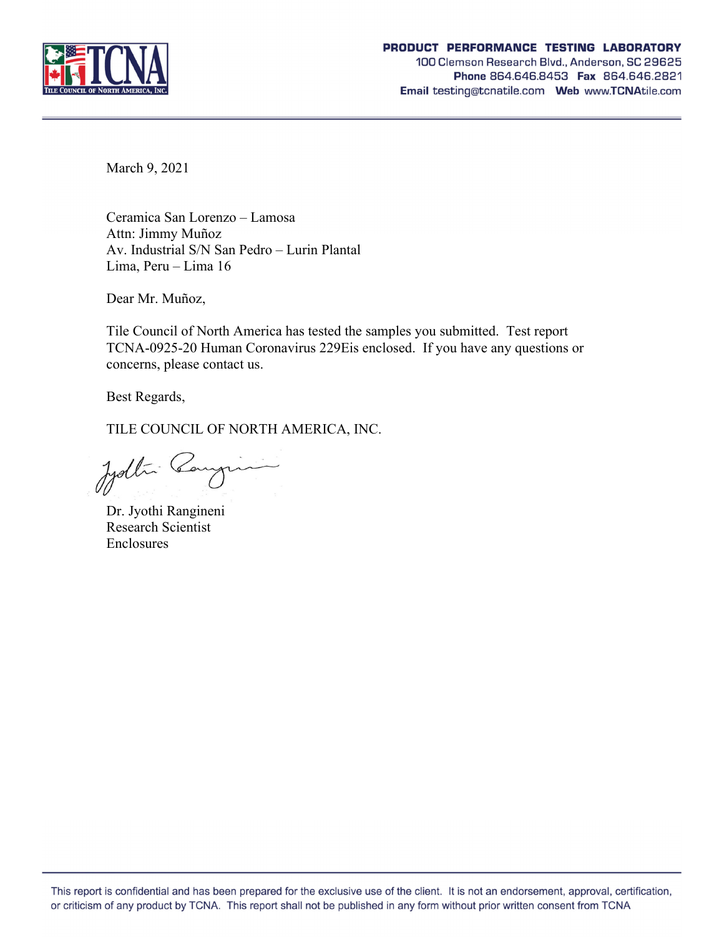

March 9, 2021

Ceramica San Lorenzo – Lamosa Attn: Jimmy Muñoz Av. Industrial S/N San Pedro – Lurin Plantal Lima, Peru – Lima 16

Dear Mr. Muñoz,

Tile Council of North America has tested the samples you submitted. Test report TCNA-0925-20 Human Coronavirus 229Eis enclosed. If you have any questions or concerns, please contact us.

Best Regards,

TILE COUNCIL OF NORTH AMERICA, INC.

Jydlin Cangin

Dr. Jyothi Rangineni Research Scientist **Enclosures**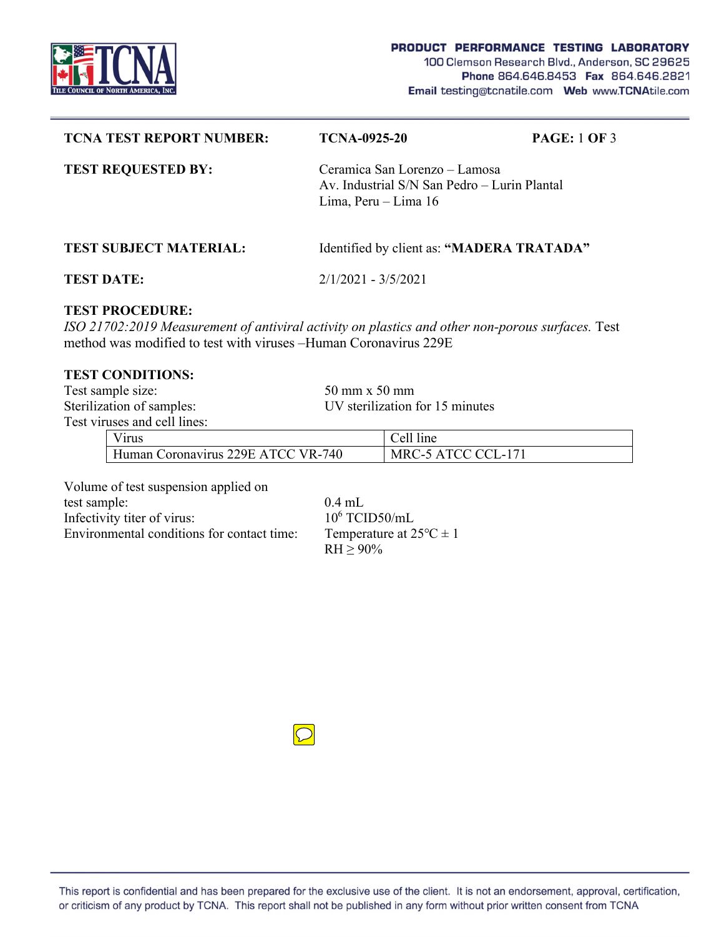

| <b>TCNA TEST REPORT NUMBER:</b>                                                                                                                                                                  | <b>TCNA-0925-20</b>                                                                                   | <b>PAGE: 1 OF 3</b> |  |  |  |
|--------------------------------------------------------------------------------------------------------------------------------------------------------------------------------------------------|-------------------------------------------------------------------------------------------------------|---------------------|--|--|--|
| <b>TEST REQUESTED BY:</b>                                                                                                                                                                        | Ceramica San Lorenzo – Lamosa<br>Av. Industrial S/N San Pedro – Lurin Plantal<br>Lima, Peru – Lima 16 |                     |  |  |  |
| <b>TEST SUBJECT MATERIAL:</b>                                                                                                                                                                    | Identified by client as: "MADERA TRATADA"                                                             |                     |  |  |  |
| <b>TEST DATE:</b>                                                                                                                                                                                | $2/1/2021 - 3/5/2021$                                                                                 |                     |  |  |  |
| <b>TEST PROCEDURE:</b><br>ISO 21702:2019 Measurement of antiviral activity on plastics and other non-porous surfaces. Test<br>method was modified to test with viruses – Human Coronavirus 229 E |                                                                                                       |                     |  |  |  |

### **TEST CONDITIONS:**

Test sample size: 50 mm x 50 mm Sterilization of samples: UV sterilization for 15 minutes Test viruses and cell lines:

| гизсэ ани сеп ппсэ.                |                    |  |  |  |
|------------------------------------|--------------------|--|--|--|
| V <sub>1</sub> rus                 | Cell line          |  |  |  |
| Human Coronavirus 229E ATCC VR-740 | MRC-5 ATCC CCL-171 |  |  |  |

Volume of test suspension applied on

test sample: 0.4 mL Infectivity titer of virus: Environmental conditions for contact time: Temperature at  $25^{\circ}C \pm 1$ 

 $10^6$  TCID50/mL  $RH \ge 90\%$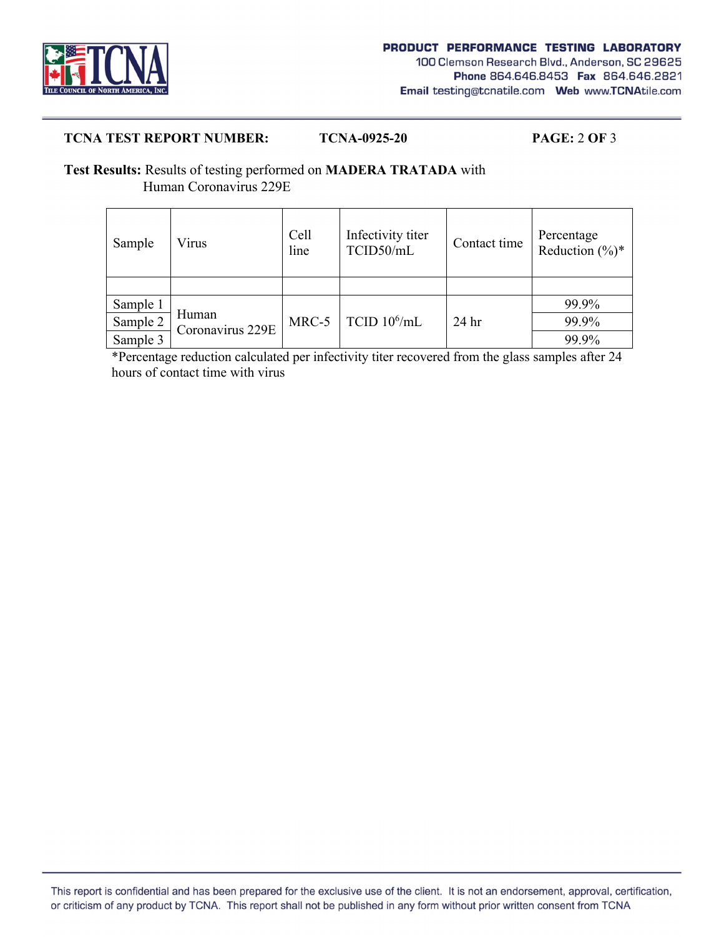

# **TCNA TEST REPORT NUMBER: TCNA-0925-20 PAGE:** 2 **OF** 3

# **Test Results:** Results of testing performed on **MADERA TRATADA** with Human Coronavirus 229E

| Sample   | Virus                     | Cell<br>line | Infectivity titer<br>TCID50/mL | Contact time     | Percentage<br>Reduction $(\%)^*$ |
|----------|---------------------------|--------------|--------------------------------|------------------|----------------------------------|
|          |                           |              |                                |                  |                                  |
| Sample 1 | Human<br>Coronavirus 229E | MRC-5        | TCID $10^6$ /mL                | 24 <sub>hr</sub> | 99.9%                            |
| Sample 2 |                           |              |                                |                  | 99.9%                            |
| Sample 3 |                           |              |                                |                  | 99.9%                            |

 \*Percentage reduction calculated per infectivity titer recovered from the glass samples after 24 hours of contact time with virus